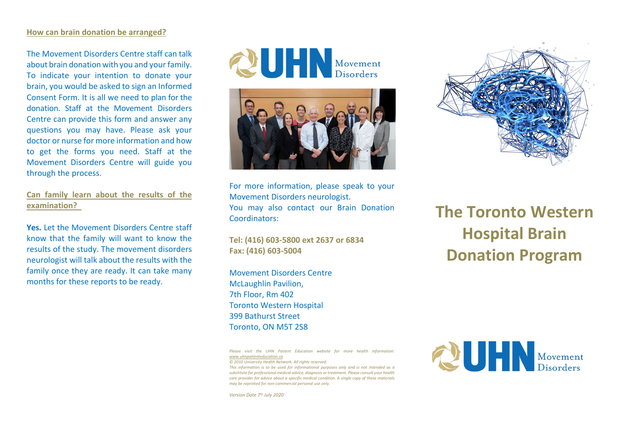#### **How can brain donation be arranged?**

The Movement Disorders Centre staff can talk about brain donation with you and your family. To indicate your intention to donate your brain, you would be asked to sign an Informed Consent Form. It is all we need to plan for the donation. Staff at the Movement Disorders Centre can provide this form and answer any questions you may have. Please ask your doctor or nurse for more information and how to get the forms you need. Staff at the Movement Disorders Centre will guide you through the process.

## **Can family learn about the results of the examination?**

**Yes.** Let the Movement Disorders Centre staff know that the family will want to know the results of the study. The movement disorders neurologist will talk about the results with the family once they are ready. It can take many months for these reports to be ready.





For more information, please speak to your Movement Disorders neurologist. You may also contact our Brain Donation Coordinators:

**Tel: (416) 603-5800 ext 2637 or 6834 Fax: (416) 603-5004**

Movement Disorders Centre McLaughlin Pavilion, 7th Floor, Rm 402 Toronto Western Hospital 399 Bathurst Street Toronto, ON M5T 2S8

*Please visit the UHN Patient Education website for more health information: www.uhnpatienteducation.ca*

*© 2010 University Health Network. All rights reserved. This information is to be used for informational purposes only and is not intended as a substitute for professional medical advice, diagnosis or treatment. Please consult your health care provider for advice about a specific medical condition. A single copy of these materials may be reprinted for non-commercial personal use only.*

*Version Date 7th July 2020*



# **The Toronto Western Hospital Brain Donation Program**